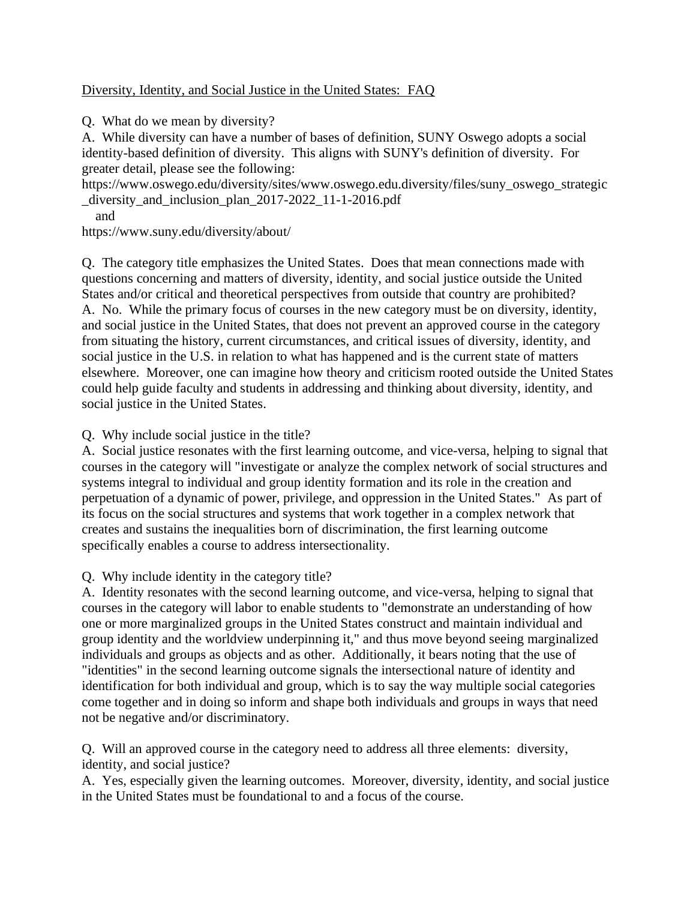## Diversity, Identity, and Social Justice in the United States: FAQ

Q. What do we mean by diversity?

A. While diversity can have a number of bases of definition, SUNY Oswego adopts a social identity-based definition of diversity. This aligns with SUNY's definition of diversity. For greater detail, please see the following:

https://www.oswego.edu/diversity/sites/www.oswego.edu.diversity/files/suny\_oswego\_strategic \_diversity\_and\_inclusion\_plan\_2017-2022\_11-1-2016.pdf

and

https://www.suny.edu/diversity/about/

Q. The category title emphasizes the United States. Does that mean connections made with questions concerning and matters of diversity, identity, and social justice outside the United States and/or critical and theoretical perspectives from outside that country are prohibited? A. No. While the primary focus of courses in the new category must be on diversity, identity, and social justice in the United States, that does not prevent an approved course in the category from situating the history, current circumstances, and critical issues of diversity, identity, and social justice in the U.S. in relation to what has happened and is the current state of matters elsewhere. Moreover, one can imagine how theory and criticism rooted outside the United States could help guide faculty and students in addressing and thinking about diversity, identity, and social justice in the United States.

## Q. Why include social justice in the title?

A. Social justice resonates with the first learning outcome, and vice-versa, helping to signal that courses in the category will "investigate or analyze the complex network of social structures and systems integral to individual and group identity formation and its role in the creation and perpetuation of a dynamic of power, privilege, and oppression in the United States." As part of its focus on the social structures and systems that work together in a complex network that creates and sustains the inequalities born of discrimination, the first learning outcome specifically enables a course to address intersectionality.

Q. Why include identity in the category title?

A. Identity resonates with the second learning outcome, and vice-versa, helping to signal that courses in the category will labor to enable students to "demonstrate an understanding of how one or more marginalized groups in the United States construct and maintain individual and group identity and the worldview underpinning it," and thus move beyond seeing marginalized individuals and groups as objects and as other. Additionally, it bears noting that the use of "identities" in the second learning outcome signals the intersectional nature of identity and identification for both individual and group, which is to say the way multiple social categories come together and in doing so inform and shape both individuals and groups in ways that need not be negative and/or discriminatory.

Q. Will an approved course in the category need to address all three elements: diversity, identity, and social justice?

A. Yes, especially given the learning outcomes. Moreover, diversity, identity, and social justice in the United States must be foundational to and a focus of the course.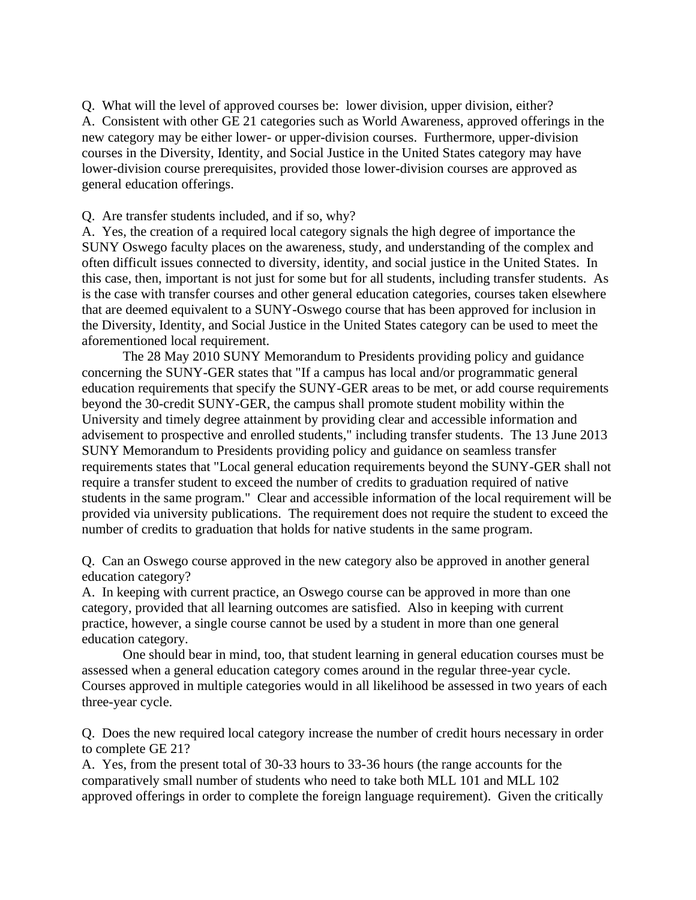Q. What will the level of approved courses be: lower division, upper division, either? A. Consistent with other GE 21 categories such as World Awareness, approved offerings in the new category may be either lower- or upper-division courses. Furthermore, upper-division courses in the Diversity, Identity, and Social Justice in the United States category may have lower-division course prerequisites, provided those lower-division courses are approved as general education offerings.

Q. Are transfer students included, and if so, why?

A. Yes, the creation of a required local category signals the high degree of importance the SUNY Oswego faculty places on the awareness, study, and understanding of the complex and often difficult issues connected to diversity, identity, and social justice in the United States. In this case, then, important is not just for some but for all students, including transfer students. As is the case with transfer courses and other general education categories, courses taken elsewhere that are deemed equivalent to a SUNY-Oswego course that has been approved for inclusion in the Diversity, Identity, and Social Justice in the United States category can be used to meet the aforementioned local requirement.

The 28 May 2010 SUNY Memorandum to Presidents providing policy and guidance concerning the SUNY-GER states that "If a campus has local and/or programmatic general education requirements that specify the SUNY-GER areas to be met, or add course requirements beyond the 30-credit SUNY-GER, the campus shall promote student mobility within the University and timely degree attainment by providing clear and accessible information and advisement to prospective and enrolled students," including transfer students. The 13 June 2013 SUNY Memorandum to Presidents providing policy and guidance on seamless transfer requirements states that "Local general education requirements beyond the SUNY-GER shall not require a transfer student to exceed the number of credits to graduation required of native students in the same program." Clear and accessible information of the local requirement will be provided via university publications. The requirement does not require the student to exceed the number of credits to graduation that holds for native students in the same program.

Q. Can an Oswego course approved in the new category also be approved in another general education category?

A. In keeping with current practice, an Oswego course can be approved in more than one category, provided that all learning outcomes are satisfied. Also in keeping with current practice, however, a single course cannot be used by a student in more than one general education category.

One should bear in mind, too, that student learning in general education courses must be assessed when a general education category comes around in the regular three-year cycle. Courses approved in multiple categories would in all likelihood be assessed in two years of each three-year cycle.

Q. Does the new required local category increase the number of credit hours necessary in order to complete GE 21?

A. Yes, from the present total of 30-33 hours to 33-36 hours (the range accounts for the comparatively small number of students who need to take both MLL 101 and MLL 102 approved offerings in order to complete the foreign language requirement). Given the critically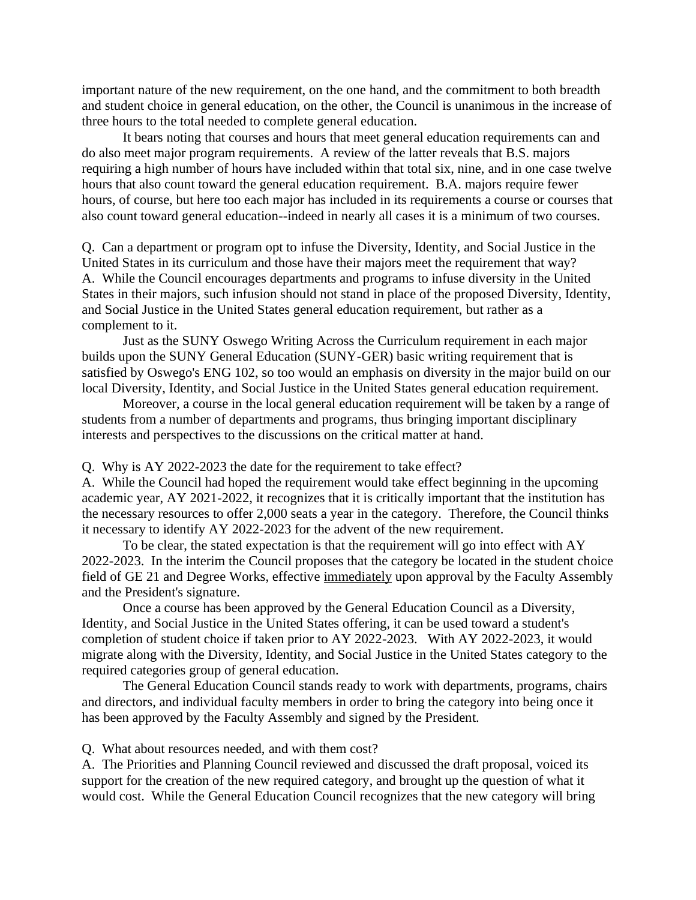important nature of the new requirement, on the one hand, and the commitment to both breadth and student choice in general education, on the other, the Council is unanimous in the increase of three hours to the total needed to complete general education.

It bears noting that courses and hours that meet general education requirements can and do also meet major program requirements. A review of the latter reveals that B.S. majors requiring a high number of hours have included within that total six, nine, and in one case twelve hours that also count toward the general education requirement. B.A. majors require fewer hours, of course, but here too each major has included in its requirements a course or courses that also count toward general education--indeed in nearly all cases it is a minimum of two courses.

Q. Can a department or program opt to infuse the Diversity, Identity, and Social Justice in the United States in its curriculum and those have their majors meet the requirement that way? A. While the Council encourages departments and programs to infuse diversity in the United States in their majors, such infusion should not stand in place of the proposed Diversity, Identity, and Social Justice in the United States general education requirement, but rather as a complement to it.

Just as the SUNY Oswego Writing Across the Curriculum requirement in each major builds upon the SUNY General Education (SUNY-GER) basic writing requirement that is satisfied by Oswego's ENG 102, so too would an emphasis on diversity in the major build on our local Diversity, Identity, and Social Justice in the United States general education requirement.

Moreover, a course in the local general education requirement will be taken by a range of students from a number of departments and programs, thus bringing important disciplinary interests and perspectives to the discussions on the critical matter at hand.

Q. Why is AY 2022-2023 the date for the requirement to take effect?

A. While the Council had hoped the requirement would take effect beginning in the upcoming academic year, AY 2021-2022, it recognizes that it is critically important that the institution has the necessary resources to offer 2,000 seats a year in the category. Therefore, the Council thinks it necessary to identify AY 2022-2023 for the advent of the new requirement.

To be clear, the stated expectation is that the requirement will go into effect with AY 2022-2023. In the interim the Council proposes that the category be located in the student choice field of GE 21 and Degree Works, effective immediately upon approval by the Faculty Assembly and the President's signature.

Once a course has been approved by the General Education Council as a Diversity, Identity, and Social Justice in the United States offering, it can be used toward a student's completion of student choice if taken prior to AY 2022-2023. With AY 2022-2023, it would migrate along with the Diversity, Identity, and Social Justice in the United States category to the required categories group of general education.

The General Education Council stands ready to work with departments, programs, chairs and directors, and individual faculty members in order to bring the category into being once it has been approved by the Faculty Assembly and signed by the President.

Q. What about resources needed, and with them cost?

A. The Priorities and Planning Council reviewed and discussed the draft proposal, voiced its support for the creation of the new required category, and brought up the question of what it would cost. While the General Education Council recognizes that the new category will bring